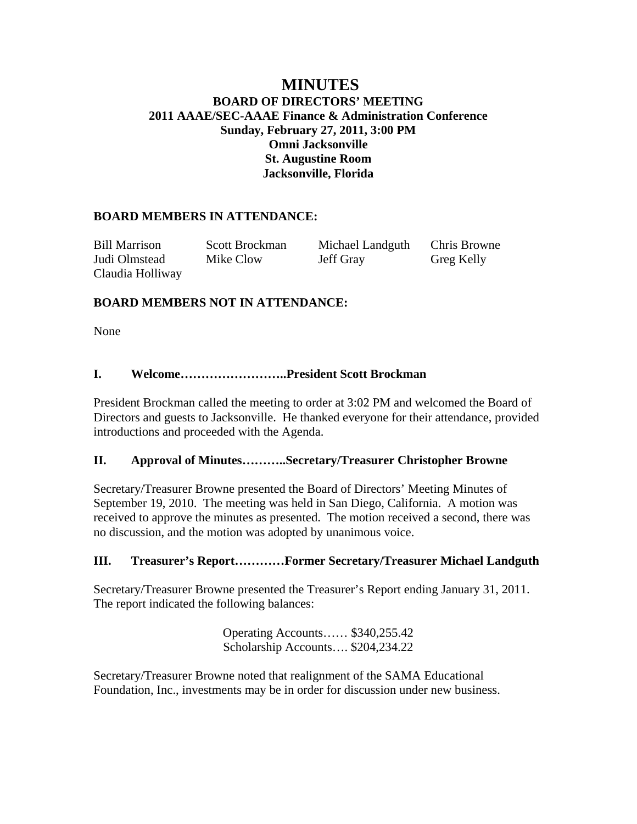# **MINUTES BOARD OF DIRECTORS' MEETING 2011 AAAE/SEC-AAAE Finance & Administration Conference Sunday, February 27, 2011, 3:00 PM Omni Jacksonville St. Augustine Room Jacksonville, Florida**

# **BOARD MEMBERS IN ATTENDANCE:**

Bill Marrison Scott Brockman Michael Landguth Chris Browne Judi Olmstead Mike Clow Jeff Gray Greg Kelly Claudia Holliway

# **BOARD MEMBERS NOT IN ATTENDANCE:**

None

# **I. Welcome……………………..President Scott Brockman**

President Brockman called the meeting to order at 3:02 PM and welcomed the Board of Directors and guests to Jacksonville. He thanked everyone for their attendance, provided introductions and proceeded with the Agenda.

## **II. Approval of Minutes………..Secretary/Treasurer Christopher Browne**

Secretary/Treasurer Browne presented the Board of Directors' Meeting Minutes of September 19, 2010. The meeting was held in San Diego, California. A motion was received to approve the minutes as presented. The motion received a second, there was no discussion, and the motion was adopted by unanimous voice.

## **III. Treasurer's Report…………Former Secretary/Treasurer Michael Landguth**

Secretary/Treasurer Browne presented the Treasurer's Report ending January 31, 2011. The report indicated the following balances:

> Operating Accounts…… \$340,255.42 Scholarship Accounts…. \$204,234.22

Secretary/Treasurer Browne noted that realignment of the SAMA Educational Foundation, Inc., investments may be in order for discussion under new business.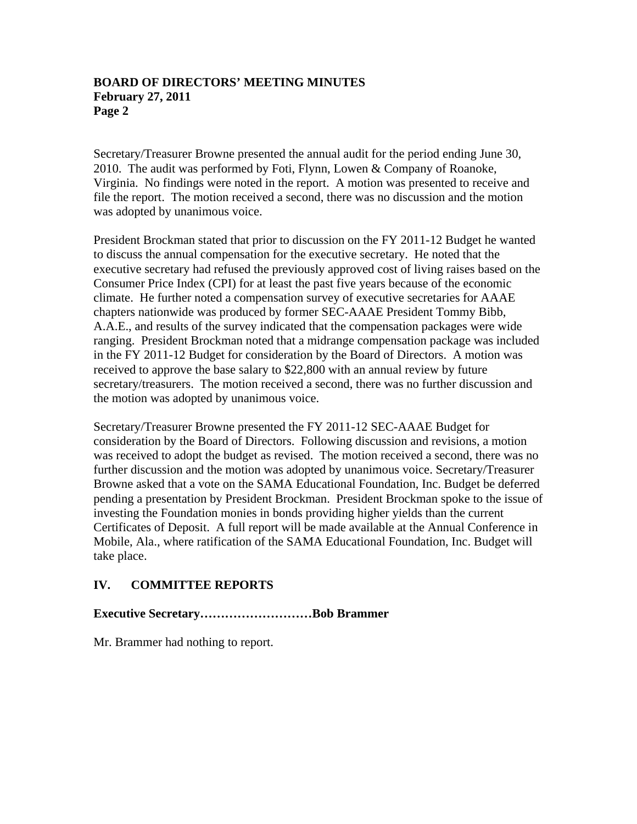## **BOARD OF DIRECTORS' MEETING MINUTES February 27, 2011 Page 2**

Secretary/Treasurer Browne presented the annual audit for the period ending June 30, 2010. The audit was performed by Foti, Flynn, Lowen & Company of Roanoke, Virginia. No findings were noted in the report. A motion was presented to receive and file the report. The motion received a second, there was no discussion and the motion was adopted by unanimous voice.

President Brockman stated that prior to discussion on the FY 2011-12 Budget he wanted to discuss the annual compensation for the executive secretary. He noted that the executive secretary had refused the previously approved cost of living raises based on the Consumer Price Index (CPI) for at least the past five years because of the economic climate. He further noted a compensation survey of executive secretaries for AAAE chapters nationwide was produced by former SEC-AAAE President Tommy Bibb, A.A.E., and results of the survey indicated that the compensation packages were wide ranging. President Brockman noted that a midrange compensation package was included in the FY 2011-12 Budget for consideration by the Board of Directors. A motion was received to approve the base salary to \$22,800 with an annual review by future secretary/treasurers. The motion received a second, there was no further discussion and the motion was adopted by unanimous voice.

Secretary/Treasurer Browne presented the FY 2011-12 SEC-AAAE Budget for consideration by the Board of Directors. Following discussion and revisions, a motion was received to adopt the budget as revised. The motion received a second, there was no further discussion and the motion was adopted by unanimous voice. Secretary/Treasurer Browne asked that a vote on the SAMA Educational Foundation, Inc. Budget be deferred pending a presentation by President Brockman. President Brockman spoke to the issue of investing the Foundation monies in bonds providing higher yields than the current Certificates of Deposit. A full report will be made available at the Annual Conference in Mobile, Ala., where ratification of the SAMA Educational Foundation, Inc. Budget will take place.

# **IV. COMMITTEE REPORTS**

## **Executive Secretary………………………Bob Brammer**

Mr. Brammer had nothing to report.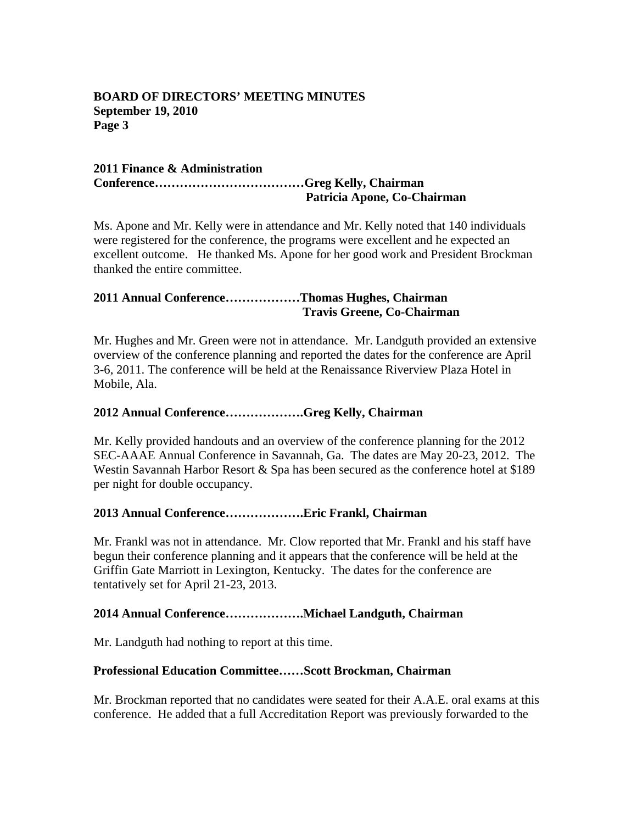## **BOARD OF DIRECTORS' MEETING MINUTES September 19, 2010 Page 3**

#### **2011 Finance & Administration Conference………………………………Greg Kelly, Chairman Patricia Apone, Co-Chairman**

Ms. Apone and Mr. Kelly were in attendance and Mr. Kelly noted that 140 individuals were registered for the conference, the programs were excellent and he expected an excellent outcome. He thanked Ms. Apone for her good work and President Brockman thanked the entire committee.

# **2011 Annual Conference………………Thomas Hughes, Chairman Travis Greene, Co-Chairman**

Mr. Hughes and Mr. Green were not in attendance. Mr. Landguth provided an extensive overview of the conference planning and reported the dates for the conference are April 3-6, 2011. The conference will be held at the Renaissance Riverview Plaza Hotel in Mobile, Ala.

## **2012 Annual Conference……………….Greg Kelly, Chairman**

Mr. Kelly provided handouts and an overview of the conference planning for the 2012 SEC-AAAE Annual Conference in Savannah, Ga. The dates are May 20-23, 2012. The Westin Savannah Harbor Resort & Spa has been secured as the conference hotel at \$189 per night for double occupancy.

## **2013 Annual Conference……………….Eric Frankl, Chairman**

Mr. Frankl was not in attendance. Mr. Clow reported that Mr. Frankl and his staff have begun their conference planning and it appears that the conference will be held at the Griffin Gate Marriott in Lexington, Kentucky. The dates for the conference are tentatively set for April 21-23, 2013.

## **2014 Annual Conference……………….Michael Landguth, Chairman**

Mr. Landguth had nothing to report at this time.

## **Professional Education Committee……Scott Brockman, Chairman**

Mr. Brockman reported that no candidates were seated for their A.A.E. oral exams at this conference. He added that a full Accreditation Report was previously forwarded to the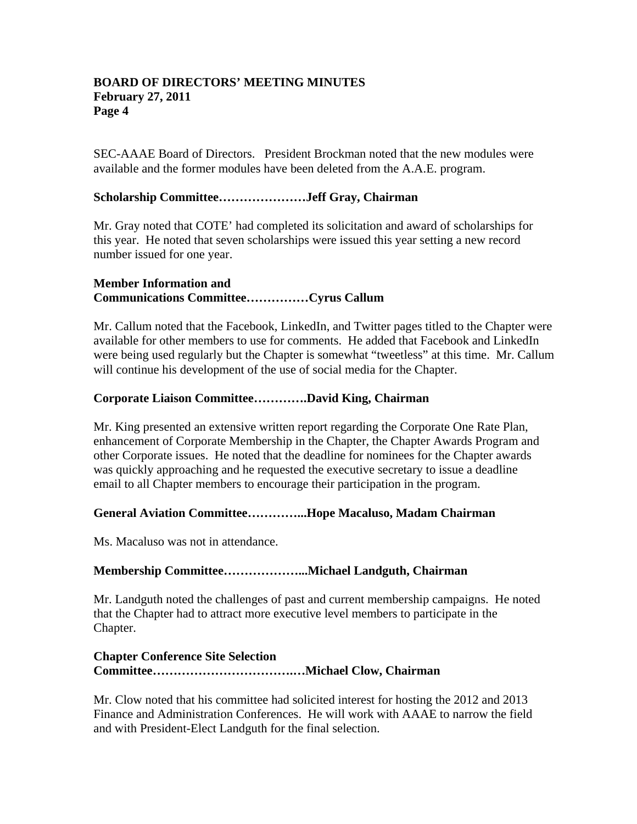## **BOARD OF DIRECTORS' MEETING MINUTES February 27, 2011 Page 4**

SEC-AAAE Board of Directors. President Brockman noted that the new modules were available and the former modules have been deleted from the A.A.E. program.

# **Scholarship Committee…………………Jeff Gray, Chairman**

Mr. Gray noted that COTE' had completed its solicitation and award of scholarships for this year. He noted that seven scholarships were issued this year setting a new record number issued for one year.

# **Member Information and Communications Committee……………Cyrus Callum**

Mr. Callum noted that the Facebook, LinkedIn, and Twitter pages titled to the Chapter were available for other members to use for comments. He added that Facebook and LinkedIn were being used regularly but the Chapter is somewhat "tweetless" at this time. Mr. Callum will continue his development of the use of social media for the Chapter.

# **Corporate Liaison Committee………….David King, Chairman**

Mr. King presented an extensive written report regarding the Corporate One Rate Plan, enhancement of Corporate Membership in the Chapter, the Chapter Awards Program and other Corporate issues. He noted that the deadline for nominees for the Chapter awards was quickly approaching and he requested the executive secretary to issue a deadline email to all Chapter members to encourage their participation in the program.

# **General Aviation Committee…………...Hope Macaluso, Madam Chairman**

Ms. Macaluso was not in attendance.

# **Membership Committee………………...Michael Landguth, Chairman**

Mr. Landguth noted the challenges of past and current membership campaigns. He noted that the Chapter had to attract more executive level members to participate in the Chapter.

# **Chapter Conference Site Selection Committee…………………………….…Michael Clow, Chairman**

Mr. Clow noted that his committee had solicited interest for hosting the 2012 and 2013 Finance and Administration Conferences. He will work with AAAE to narrow the field and with President-Elect Landguth for the final selection.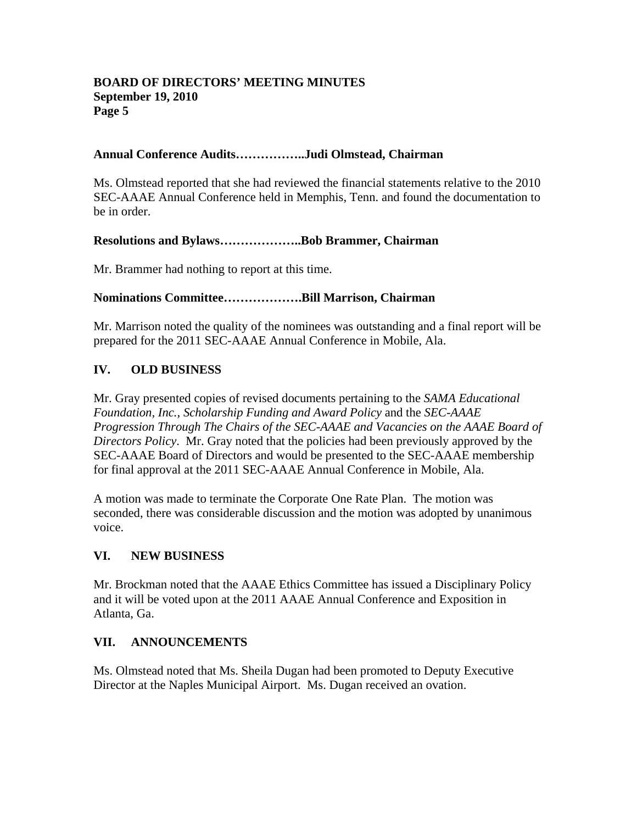## **BOARD OF DIRECTORS' MEETING MINUTES September 19, 2010 Page 5**

# **Annual Conference Audits……………..Judi Olmstead, Chairman**

Ms. Olmstead reported that she had reviewed the financial statements relative to the 2010 SEC-AAAE Annual Conference held in Memphis, Tenn. and found the documentation to be in order.

## **Resolutions and Bylaws………………..Bob Brammer, Chairman**

Mr. Brammer had nothing to report at this time.

# **Nominations Committee……………….Bill Marrison, Chairman**

Mr. Marrison noted the quality of the nominees was outstanding and a final report will be prepared for the 2011 SEC-AAAE Annual Conference in Mobile, Ala.

# **IV. OLD BUSINESS**

Mr. Gray presented copies of revised documents pertaining to the *SAMA Educational Foundation, Inc., Scholarship Funding and Award Policy* and the *SEC-AAAE Progression Through The Chairs of the SEC-AAAE and Vacancies on the AAAE Board of Directors Policy*. Mr. Gray noted that the policies had been previously approved by the SEC-AAAE Board of Directors and would be presented to the SEC-AAAE membership for final approval at the 2011 SEC-AAAE Annual Conference in Mobile, Ala.

A motion was made to terminate the Corporate One Rate Plan. The motion was seconded, there was considerable discussion and the motion was adopted by unanimous voice.

## **VI. NEW BUSINESS**

Mr. Brockman noted that the AAAE Ethics Committee has issued a Disciplinary Policy and it will be voted upon at the 2011 AAAE Annual Conference and Exposition in Atlanta, Ga.

# **VII. ANNOUNCEMENTS**

Ms. Olmstead noted that Ms. Sheila Dugan had been promoted to Deputy Executive Director at the Naples Municipal Airport. Ms. Dugan received an ovation.